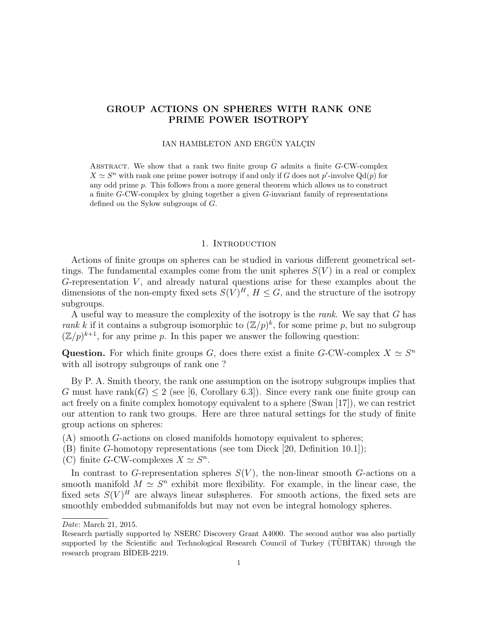# GROUP ACTIONS ON SPHERES WITH RANK ONE PRIME POWER ISOTROPY

### IAN HAMBLETON AND ERGÜN YALCIN

ABSTRACT. We show that a rank two finite group  $G$  admits a finite  $G$ -CW-complex  $X \simeq S^n$  with rank one prime power isotropy if and only if G does not p'-involve Qd(p) for any odd prime p. This follows from a more general theorem which allows us to construct a finite G-CW-complex by gluing together a given G-invariant family of representations defined on the Sylow subgroups of G.

### 1. Introduction

Actions of finite groups on spheres can be studied in various different geometrical settings. The fundamental examples come from the unit spheres  $S(V)$  in a real or complex G-representation  $V$ , and already natural questions arise for these examples about the dimensions of the non-empty fixed sets  $S(V)^{H}$ ,  $H \leq G$ , and the structure of the isotropy subgroups.

A useful way to measure the complexity of the isotropy is the rank. We say that G has rank k if it contains a subgroup isomorphic to  $(\mathbb{Z}/p)^k$ , for some prime p, but no subgroup  $(\mathbb{Z}/p)^{k+1}$ , for any prime p. In this paper we answer the following question:

Question. For which finite groups G, does there exist a finite G-CW-complex  $X \simeq S^n$ with all isotropy subgroups of rank one ?

By P. A. Smith theory, the rank one assumption on the isotropy subgroups implies that G must have rank(G)  $\leq$  2 (see [6, Corollary 6.3]). Since every rank one finite group can act freely on a finite complex homotopy equivalent to a sphere (Swan [17]), we can restrict our attention to rank two groups. Here are three natural settings for the study of finite group actions on spheres:

(A) smooth G-actions on closed manifolds homotopy equivalent to spheres;

- (B) finite G-homotopy representations (see tom Dieck [20, Definition 10.1]);
- (C) finite G-CW-complexes  $X \simeq S^n$ .

In contrast to G-representation spheres  $S(V)$ , the non-linear smooth G-actions on a smooth manifold  $M \simeq S^n$  exhibit more flexibility. For example, in the linear case, the fixed sets  $S(V)^{H}$  are always linear subspheres. For smooth actions, the fixed sets are smoothly embedded submanifolds but may not even be integral homology spheres.

Date: March 21, 2015.

Research partially supported by NSERC Discovery Grant A4000. The second author was also partially supported by the Scientific and Technological Research Council of Turkey (TUBITAK) through the research program B˙IDEB-2219.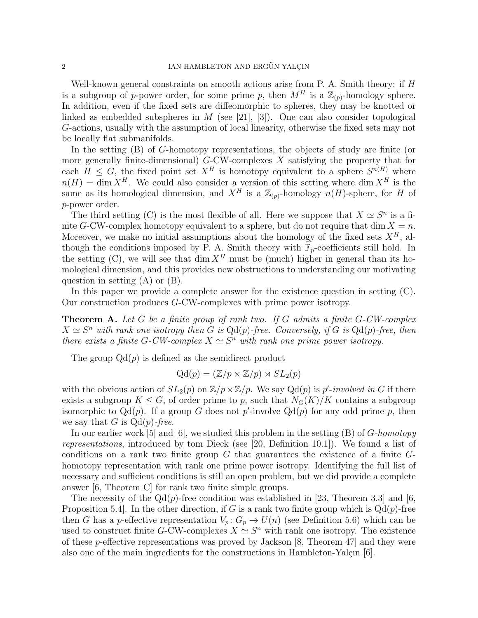Well-known general constraints on smooth actions arise from P. A. Smith theory: if H is a subgroup of p-power order, for some prime p, then  $M<sup>H</sup>$  is a  $\mathbb{Z}_{(p)}$ -homology sphere. In addition, even if the fixed sets are diffeomorphic to spheres, they may be knotted or linked as embedded subspheres in  $M$  (see [21], [3]). One can also consider topological G-actions, usually with the assumption of local linearity, otherwise the fixed sets may not be locally flat submanifolds.

In the setting (B) of G-homotopy representations, the objects of study are finite (or more generally finite-dimensional)  $G-CW$ -complexes X satisfying the property that for each  $H \leq G$ , the fixed point set  $X^H$  is homotopy equivalent to a sphere  $S^{n(H)}$  where  $n(H) = \dim X^H$ . We could also consider a version of this setting where dim  $X^H$  is the same as its homological dimension, and  $X^H$  is a  $\mathbb{Z}_{(p)}$ -homology  $n(H)$ -sphere, for H of p-power order.

The third setting (C) is the most flexible of all. Here we suppose that  $X \simeq S^n$  is a finite G-CW-complex homotopy equivalent to a sphere, but do not require that dim  $X = n$ . Moreover, we make no initial assumptions about the homology of the fixed sets  $X^H$ , although the conditions imposed by P. A. Smith theory with  $\mathbb{F}_p$ -coefficients still hold. In the setting (C), we will see that dim  $X^H$  must be (much) higher in general than its homological dimension, and this provides new obstructions to understanding our motivating question in setting  $(A)$  or  $(B)$ .

In this paper we provide a complete answer for the existence question in setting (C). Our construction produces G-CW-complexes with prime power isotropy.

**Theorem A.** Let G be a finite group of rank two. If G admits a finite  $G$ -CW-complex  $X \simeq S^n$  with rank one isotropy then G is  $Qd(p)$ -free. Conversely, if G is  $Qd(p)$ -free, then there exists a finite G-CW-complex  $X \simeq S^n$  with rank one prime power isotropy.

The group  $Qd(p)$  is defined as the semidirect product

$$
Qd(p) = (\mathbb{Z}/p \times \mathbb{Z}/p) \rtimes SL_2(p)
$$

with the obvious action of  $SL_2(p)$  on  $\mathbb{Z}/p \times \mathbb{Z}/p$ . We say  $Qd(p)$  is p'-involved in G if there exists a subgroup  $K \leq G$ , of order prime to p, such that  $N_G(K)/K$  contains a subgroup isomorphic to  $Qd(p)$ . If a group G does not p'-involve  $Qd(p)$  for any odd prime p, then we say that G is  $Qd(p)$ -free.

In our earlier work [5] and [6], we studied this problem in the setting  $(B)$  of  $G\text{-}homotopy$ representations, introduced by tom Dieck (see [20, Definition 10.1]). We found a list of conditions on a rank two finite group  $G$  that guarantees the existence of a finite  $G$ homotopy representation with rank one prime power isotropy. Identifying the full list of necessary and sufficient conditions is still an open problem, but we did provide a complete answer [6, Theorem C] for rank two finite simple groups.

The necessity of the  $Qd(p)$ -free condition was established in [23, Theorem 3.3] and [6, Proposition 5.4. In the other direction, if G is a rank two finite group which is  $Qd(p)$ -free then G has a p-effective representation  $V_p: G_p \to U(n)$  (see Definition 5.6) which can be used to construct finite G-CW-complexes  $X \simeq S^n$  with rank one isotropy. The existence of these p-effective representations was proved by Jackson [8, Theorem 47] and they were also one of the main ingredients for the constructions in Hambleton-Yalçın  $[6]$ .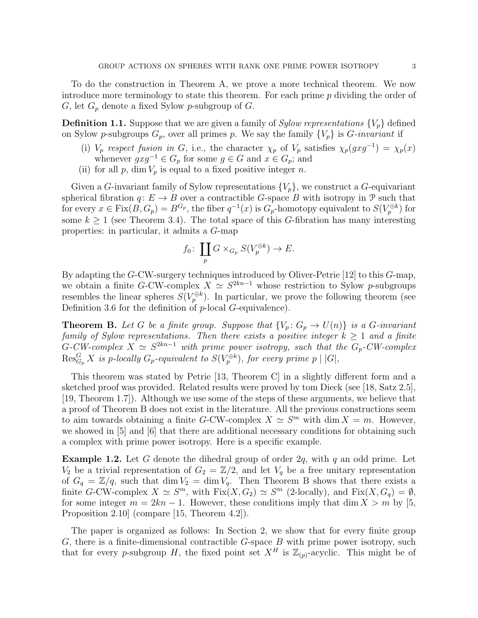To do the construction in Theorem A, we prove a more technical theorem. We now introduce more terminology to state this theorem. For each prime  $p$  dividing the order of G, let  $G_p$  denote a fixed Sylow p-subgroup of G.

**Definition 1.1.** Suppose that we are given a family of *Sylow representations*  $\{V_p\}$  defined on Sylow p-subgroups  $G_p$ , over all primes p. We say the family  $\{V_p\}$  is G-invariant if

- (i)  $V_p$  respect fusion in G, i.e., the character  $\chi_p$  of  $V_p$  satisfies  $\chi_p(gxg^{-1}) = \chi_p(x)$ whenever  $gxg^{-1} \in G_p$  for some  $g \in G$  and  $x \in G_p$ ; and
- (ii) for all p, dim  $V_p$  is equal to a fixed positive integer n.

Given a G-invariant family of Sylow representations  $\{V_p\}$ , we construct a G-equivariant spherical fibration  $q: E \to B$  over a contractible G-space B with isotropy in P such that for every  $x \in \text{Fix}(B, G_p) = B^{G_p}$ , the fiber  $q^{-1}(x)$  is  $G_p$ -homotopy equivalent to  $S(V_p^{\oplus k})$  for some  $k \geq 1$  (see Theorem 3.4). The total space of this G-fibration has many interesting properties: in particular, it admits a G-map

$$
f_0\colon \coprod_p G \times_{G_p} S(V_p^{\oplus k}) \to E.
$$

By adapting the G-CW-surgery techniques introduced by Oliver-Petrie [12] to this G-map, we obtain a finite G-CW-complex  $X \simeq S^{2kn-1}$  whose restriction to Sylow p-subgroups resembles the linear spheres  $S(V_p^{\oplus k})$ . In particular, we prove the following theorem (see Definition 3.6 for the definition of  $p$ -local  $G$ -equivalence).

**Theorem B.** Let G be a finite group. Suppose that  $\{V_p: G_p \to U(n)\}\$  is a G-invariant family of Sylow representations. Then there exists a positive integer  $k \geq 1$  and a finite  $G$ -CW-complex  $X \simeq S^{2kn-1}$  with prime power isotropy, such that the  $G_p$ -CW-complex  $\text{Res}_{G_p}^G X$  is p-locally  $G_p$ -equivalent to  $S(V_p^{\oplus k})$ , for every prime  $p \mid |G|$ ,

This theorem was stated by Petrie [13, Theorem C] in a slightly different form and a sketched proof was provided. Related results were proved by tom Dieck (see [18, Satz 2.5], [19, Theorem 1.7]). Although we use some of the steps of these arguments, we believe that a proof of Theorem B does not exist in the literature. All the previous constructions seem to aim towards obtaining a finite G-CW-complex  $X \simeq S^m$  with dim  $X = m$ . However, we showed in [5] and [6] that there are additional necessary conditions for obtaining such a complex with prime power isotropy. Here is a specific example.

**Example 1.2.** Let G denote the dihedral group of order  $2q$ , with q an odd prime. Let  $V_2$  be a trivial representation of  $G_2 = \mathbb{Z}/2$ , and let  $V_q$  be a free unitary representation of  $G_q = \mathbb{Z}/q$ , such that dim  $V_2 = \dim V_q$ . Then Theorem B shows that there exists a finite G-CW-complex  $X \simeq S^m$ , with  $Fix(X, G_2) \simeq S^m$  (2-locally), and  $Fix(X, G_q) = \emptyset$ , for some integer  $m = 2kn - 1$ . However, these conditions imply that  $\dim X > m$  by [5, Proposition 2.10] (compare [15, Theorem 4.2]).

The paper is organized as follows: In Section 2, we show that for every finite group  $G$ , there is a finite-dimensional contractible  $G$ -space  $B$  with prime power isotropy, such that for every p-subgroup H, the fixed point set  $X^H$  is  $\mathbb{Z}_{(p)}$ -acyclic. This might be of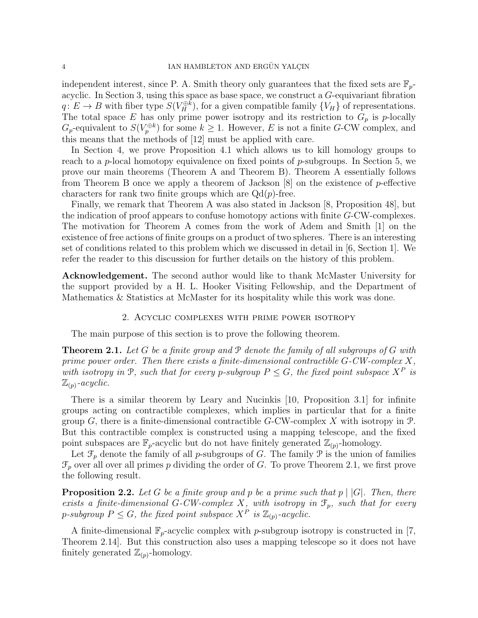independent interest, since P. A. Smith theory only guarantees that the fixed sets are  $\mathbb{F}_p$ acyclic. In Section 3, using this space as base space, we construct a G-equivariant fibration  $q: E \to B$  with fiber type  $S(V_H^{\oplus k})$ , for a given compatible family  $\{V_H\}$  of representations. The total space E has only prime power isotropy and its restriction to  $G_p$  is p-locally  $G_p$ -equivalent to  $S(V_p^{\oplus k})$  for some  $k \geq 1$ . However, E is not a finite G-CW complex, and this means that the methods of [12] must be applied with care.

In Section 4, we prove Proposition 4.1 which allows us to kill homology groups to reach to a p-local homotopy equivalence on fixed points of p-subgroups. In Section 5, we prove our main theorems (Theorem A and Theorem B). Theorem A essentially follows from Theorem B once we apply a theorem of Jackson  $[8]$  on the existence of p-effective characters for rank two finite groups which are  $Qd(p)$ -free.

Finally, we remark that Theorem A was also stated in Jackson [8, Proposition 48], but the indication of proof appears to confuse homotopy actions with finite G-CW-complexes. The motivation for Theorem A comes from the work of Adem and Smith [1] on the existence of free actions of finite groups on a product of two spheres. There is an interesting set of conditions related to this problem which we discussed in detail in [6, Section 1]. We refer the reader to this discussion for further details on the history of this problem.

Acknowledgement. The second author would like to thank McMaster University for the support provided by a H. L. Hooker Visiting Fellowship, and the Department of Mathematics & Statistics at McMaster for its hospitality while this work was done.

### 2. Acyclic complexes with prime power isotropy

The main purpose of this section is to prove the following theorem.

**Theorem 2.1.** Let G be a finite group and  $\mathcal P$  denote the family of all subgroups of G with prime power order. Then there exists a finite-dimensional contractible  $G$ -CW-complex  $X$ , with isotropy in P, such that for every p-subgroup  $P \leq G$ , the fixed point subspace  $X^P$  is  $\mathbb{Z}_{(p)}$ -acyclic.

There is a similar theorem by Leary and Nucinkis [10, Proposition 3.1] for infinite groups acting on contractible complexes, which implies in particular that for a finite group G, there is a finite-dimensional contractible G-CW-complex X with isotropy in  $\mathcal{P}$ . But this contractible complex is constructed using a mapping telescope, and the fixed point subspaces are  $\mathbb{F}_p$ -acyclic but do not have finitely generated  $\mathbb{Z}_{(p)}$ -homology.

Let  $\mathcal{F}_p$  denote the family of all p-subgroups of G. The family P is the union of families  $\mathcal{F}_p$  over all over all primes p dividing the order of G. To prove Theorem 2.1, we first prove the following result.

**Proposition 2.2.** Let G be a finite group and p be a prime such that  $p \mid |G|$ . Then, there exists a finite-dimensional G-CW-complex X, with isotropy in  $\mathcal{F}_p$ , such that for every p-subgroup  $P \leq G$ , the fixed point subspace  $X^P$  is  $\mathbb{Z}_{(p)}$ -acyclic.

A finite-dimensional  $\mathbb{F}_p$ -acyclic complex with *p*-subgroup isotropy is constructed in [7, Theorem 2.14]. But this construction also uses a mapping telescope so it does not have finitely generated  $\mathbb{Z}_{(p)}$ -homology.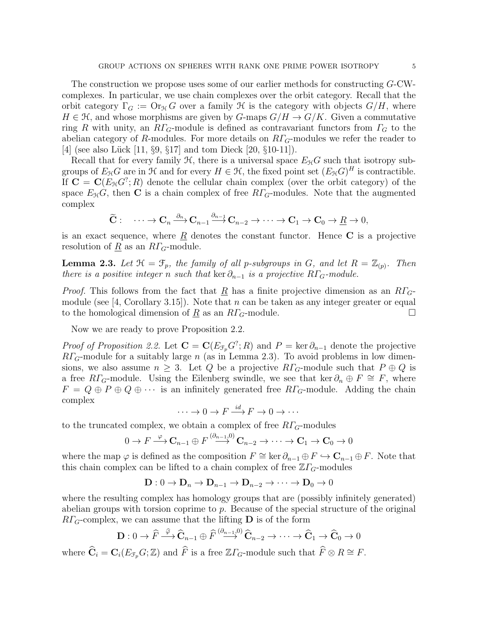The construction we propose uses some of our earlier methods for constructing G-CWcomplexes. In particular, we use chain complexes over the orbit category. Recall that the orbit category  $\Gamma_G := \mathrm{Or}_{\mathcal{H}} G$  over a family  $\mathcal{H}$  is the category with objects  $G/H$ , where  $H \in \mathcal{H}$ , and whose morphisms are given by G-maps  $G/H \to G/K$ . Given a commutative ring R with unity, an  $R\Gamma$ <sub>G</sub>-module is defined as contravariant functors from  $\Gamma$ <sub>G</sub> to the abelian category of R-modules. For more details on  $R\Gamma_G$ -modules we refer the reader to  $[4]$  (see also Lück  $[11, §9, §17]$  and tom Dieck  $[20, §10-11]$ ).

Recall that for every family  $H$ , there is a universal space  $E_H G$  such that isotropy subgroups of  $E_{\mathcal{H}}G$  are in  $\mathcal{H}$  and for every  $H \in \mathcal{H}$ , the fixed point set  $(E_{\mathcal{H}}G)^H$  is contractible. If  $\mathbf{C} = \mathbf{C}(E_{\mathcal{H}}G^?; R)$  denote the cellular chain complex (over the orbit category) of the space  $E_{\mathcal{H}}G$ , then **C** is a chain complex of free  $R\Gamma_G$ -modules. Note that the augmented complex

$$
\widetilde{\mathbf{C}}: \quad \cdots \to \mathbf{C}_n \xrightarrow{\partial_n} \mathbf{C}_{n-1} \xrightarrow{\partial_{n-1}} \mathbf{C}_{n-2} \to \cdots \to \mathbf{C}_1 \to \mathbf{C}_0 \to \underline{R} \to 0,
$$

is an exact sequence, where  $\underline{R}$  denotes the constant functor. Hence  $C$  is a projective resolution of  $\underline{R}$  as an  $R\varGamma_G$ -module.

**Lemma 2.3.** Let  $\mathfrak{H} = \mathfrak{F}_p$ , the family of all p-subgroups in G, and let  $R = \mathbb{Z}_{(p)}$ . Then there is a positive integer n such that ker  $\partial_{n-1}$  is a projective R $\Gamma_G$ -module.

*Proof.* This follows from the fact that  $\underline{R}$  has a finite projective dimension as an  $R\Gamma$ <sub>G</sub>module (see [4, Corollary 3.15]). Note that n can be taken as any integer greater or equal to the homological dimension of  $\underline{R}$  as an  $R\Gamma$ <sub>G</sub>-module.

Now we are ready to prove Proposition 2.2.

*Proof of Proposition 2.2.* Let  $\mathbf{C} = \mathbf{C}(E_{\mathcal{F}_p}G^?; R)$  and  $P = \ker \partial_{n-1}$  denote the projective  $RT_G$ -module for a suitably large n (as in Lemma 2.3). To avoid problems in low dimensions, we also assume  $n \geq 3$ . Let Q be a projective  $R\Gamma_G$ -module such that  $P \oplus Q$  is a free  $R\Gamma_G$ -module. Using the Eilenberg swindle, we see that ker  $\partial_n \oplus F \cong F$ , where  $F = Q \oplus P \oplus Q \oplus \cdots$  is an infinitely generated free  $R\Gamma_G$ -module. Adding the chain complex

$$
\cdots \to 0 \to F \xrightarrow{id} F \to 0 \to \cdots
$$

to the truncated complex, we obtain a complex of free  $R\Gamma$ <sub>G</sub>-modules

$$
0 \to F \xrightarrow{\varphi} \mathbf{C}_{n-1} \oplus F \xrightarrow{(\partial_{n-1},0)} \mathbf{C}_{n-2} \to \cdots \to \mathbf{C}_1 \to \mathbf{C}_0 \to 0
$$

where the map  $\varphi$  is defined as the composition  $F \cong \ker \partial_{n-1} \oplus F \hookrightarrow \mathbf{C}_{n-1} \oplus F$ . Note that this chain complex can be lifted to a chain complex of free  $\mathbb{Z}\Gamma$ <sub>G</sub>-modules

$$
\mathbf{D}: 0 \to \mathbf{D}_n \to \mathbf{D}_{n-1} \to \mathbf{D}_{n-2} \to \cdots \to \mathbf{D}_0 \to 0
$$

where the resulting complex has homology groups that are (possibly infinitely generated) abelian groups with torsion coprime to p. Because of the special structure of the original  $R\Gamma$ <sub>G</sub>-complex, we can assume that the lifting **D** is of the form

$$
\mathbf{D}: 0 \to \widehat{F} \xrightarrow{\widehat{\varphi}} \widehat{\mathbf{C}}_{n-1} \oplus \widehat{F} \xrightarrow{(\partial_{n-1},0)} \widehat{\mathbf{C}}_{n-2} \to \cdots \to \widehat{\mathbf{C}}_1 \to \widehat{\mathbf{C}}_0 \to 0
$$

where  $\widehat{\mathbf{C}}_i = \mathbf{C}_i(E_{\mathcal{F}_n}G; \mathbb{Z})$  and  $\widehat{F}$  is a free  $\mathbb{Z}\Gamma_G$ -module such that  $\widehat{F}\otimes R \cong F$ .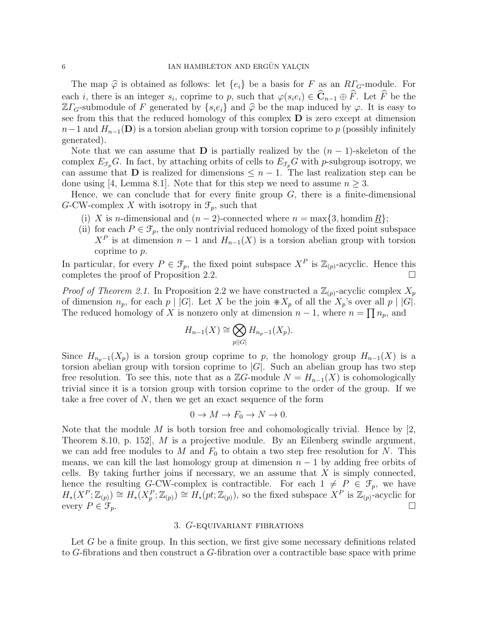The map  $\hat{\varphi}$  is obtained as follows: let  $\{e_i\}$  be a basis for F as an  $R\Gamma_G$ -module. For each *i*, there is an integer  $s_i$ , coprime to p, such that  $\varphi(s_i e_i) \in \mathbb{C}_{n-1} \oplus F$ . Let F be the  $\mathbb{Z}\Gamma_G$ -submodule of F generated by  $\{s_ie_i\}$  and  $\widehat{\varphi}$  be the map induced by  $\varphi$ . It is easy to see from this that the reduced homology of this complex  $\bf{D}$  is zero except at dimension  $n-1$  and  $H_{n-1}(\mathbf{D})$  is a torsion abelian group with torsion coprime to p (possibly infinitely generated).

Note that we can assume that **D** is partially realized by the  $(n - 1)$ -skeleton of the complex  $E_{\mathcal{F}_p}G$ . In fact, by attaching orbits of cells to  $E_{\mathcal{F}_p}G$  with p-subgroup isotropy, we can assume that **D** is realized for dimensions  $\leq n-1$ . The last realization step can be done using [4, Lemma 8.1]. Note that for this step we need to assume  $n \geq 3$ .

Hence, we can conclude that for every finite group  $G$ , there is a finite-dimensional G-CW-complex X with isotropy in  $\mathcal{F}_p$ , such that

- (i) X is n-dimensional and  $(n-2)$ -connected where  $n = \max\{3, \text{homdim } R\};$
- (ii) for each  $P \in \mathcal{F}_p$ , the only nontrivial reduced homology of the fixed point subspace  $X^P$  is at dimension  $n-1$  and  $H_{n-1}(X)$  is a torsion abelian group with torsion coprime to p.

In particular, for every  $P \in \mathcal{F}_p$ , the fixed point subspace  $X^P$  is  $\mathbb{Z}_{(p)}$ -acyclic. Hence this completes the proof of Proposition 2.2.

*Proof of Theorem 2.1.* In Proposition 2.2 we have constructed a  $\mathbb{Z}_{(p)}$ -acyclic complex  $X_p$ of dimension  $n_p$ , for each  $p \mid |G|$ . Let X be the join  $\mathscr{K}_p$  of all the  $X_p$ 's over all  $p \mid |G|$ . The reduced homology of X is nonzero only at dimension  $n-1$ , where  $n=\prod n_p$ , and

$$
H_{n-1}(X) \cong \bigotimes_{p||G|} H_{n_p-1}(X_p).
$$

Since  $H_{n_p-1}(X_p)$  is a torsion group coprime to p, the homology group  $H_{n-1}(X)$  is a torsion abelian group with torsion coprime to  $|G|$ . Such an abelian group has two step free resolution. To see this, note that as a  $\mathbb{Z}G$ -module  $N = H_{n-1}(X)$  is cohomologically trivial since it is a torsion group with torsion coprime to the order of the group. If we take a free cover of  $N$ , then we get an exact sequence of the form

$$
0 \to M \to F_0 \to N \to 0.
$$

Note that the module M is both torsion free and cohomologically trivial. Hence by  $|2$ , Theorem 8.10, p. 152], M is a projective module. By an Eilenberg swindle argument, we can add free modules to M and  $F_0$  to obtain a two step free resolution for N. This means, we can kill the last homology group at dimension  $n-1$  by adding free orbits of cells. By taking further joins if necessary, we an assume that  $X$  is simply connected, hence the resulting G-CW-complex is contractible. For each  $1 \neq P \in \mathcal{F}_p$ , we have  $H_*(X^P;\mathbb{Z}_{(p)}) \cong H_*(X_p^P;\mathbb{Z}_{(p)}) \cong H_*(pt;\mathbb{Z}_{(p)}),$  so the fixed subspace  $X^P$  is  $\mathbb{Z}_{(p)}$ -acyclic for every  $P \in \mathcal{F}_p$ .

## 3. G-equivariant fibrations

Let  $G$  be a finite group. In this section, we first give some necessary definitions related to G-fibrations and then construct a G-fibration over a contractible base space with prime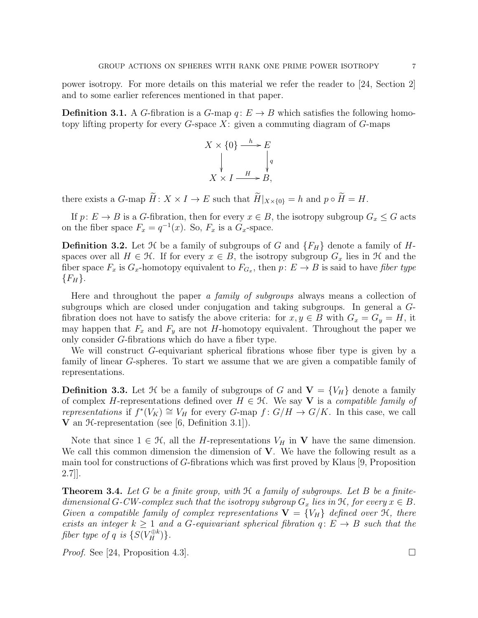power isotropy. For more details on this material we refer the reader to [24, Section 2] and to some earlier references mentioned in that paper.

**Definition 3.1.** A G-fibration is a G-map  $q: E \to B$  which satisfies the following homotopy lifting property for every  $G$ -space  $X$ : given a commuting diagram of  $G$ -maps

$$
X \times \{0\} \xrightarrow{h} E
$$
  
\n
$$
\downarrow \qquad \qquad \downarrow q
$$
  
\n
$$
X \times I \xrightarrow{H} B,
$$

there exists a G-map  $\widetilde{H}: X \times I \to E$  such that  $\widetilde{H}|_{X \times \{0\}} = h$  and  $p \circ \widetilde{H} = H$ .

If  $p: E \to B$  is a G-fibration, then for every  $x \in B$ , the isotropy subgroup  $G_x \leq G$  acts on the fiber space  $F_x = q^{-1}(x)$ . So,  $F_x$  is a  $G_x$ -space.

**Definition 3.2.** Let  $\mathcal{H}$  be a family of subgroups of G and  $\{F_H\}$  denote a family of Hspaces over all  $H \in \mathcal{H}$ . If for every  $x \in B$ , the isotropy subgroup  $G_x$  lies in  $\mathcal{H}$  and the fiber space  $F_x$  is  $G_x$ -homotopy equivalent to  $F_{G_x}$ , then  $p: E \to B$  is said to have *fiber type*  $\{F_H\}.$ 

Here and throughout the paper a family of subgroups always means a collection of subgroups which are closed under conjugation and taking subgroups. In general a Gfibration does not have to satisfy the above criteria: for  $x, y \in B$  with  $G_x = G_y = H$ , it may happen that  $F_x$  and  $F_y$  are not H-homotopy equivalent. Throughout the paper we only consider G-fibrations which do have a fiber type.

We will construct G-equivariant spherical fibrations whose fiber type is given by a family of linear G-spheres. To start we assume that we are given a compatible family of representations.

**Definition 3.3.** Let  $\mathcal{H}$  be a family of subgroups of G and  $\mathbf{V} = \{V_H\}$  denote a family of complex H-representations defined over  $H \in \mathcal{H}$ . We say **V** is a *compatible family of representations* if  $f^*(V_K) \cong V_H$  for every G-map  $f: G/H \to G/K$ . In this case, we call **V** an  $\mathcal{H}$ -representation (see [6, Definition 3.1]).

Note that since  $1 \in \mathcal{H}$ , all the *H*-representations  $V_H$  in **V** have the same dimension. We call this common dimension the dimension of  $V$ . We have the following result as a main tool for constructions of G-fibrations which was first proved by Klaus [9, Proposition 2.7]].

**Theorem 3.4.** Let G be a finite group, with  $\mathcal{H}$  a family of subgroups. Let B be a finitedimensional G-CW-complex such that the isotropy subgroup  $G_x$  lies in  $\mathfrak{H}$ , for every  $x \in B$ . Given a compatible family of complex representations  $V = {V_H}$  defined over  $H$ , there exists an integer  $k \geq 1$  and a G-equivariant spherical fibration  $q: E \to B$  such that the fiber type of q is  $\{S(V_H^{\oplus k})\}.$ 

*Proof.* See [24, Proposition 4.3].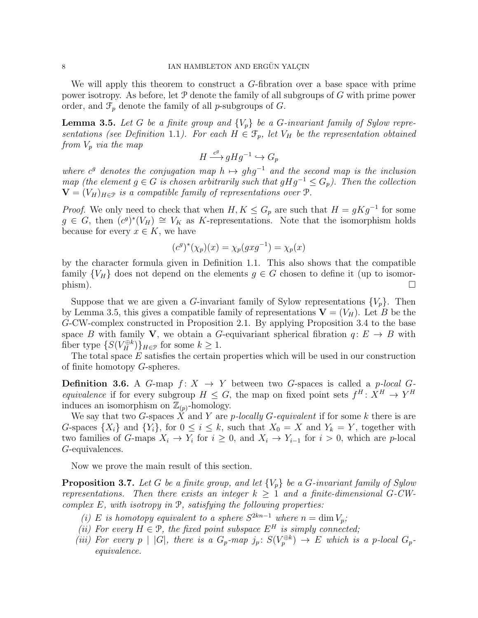We will apply this theorem to construct a G-fibration over a base space with prime power isotropy. As before, let P denote the family of all subgroups of G with prime power order, and  $\mathcal{F}_p$  denote the family of all p-subgroups of G.

**Lemma 3.5.** Let G be a finite group and  $\{V_p\}$  be a G-invariant family of Sylow representations (see Definition 1.1). For each  $H \in \mathcal{F}_p$ , let  $V_H$  be the representation obtained from  $V_p$  via the map

$$
H \xrightarrow{c^g} gHg^{-1} \hookrightarrow G_p
$$

where  $c<sup>g</sup>$  denotes the conjugation map  $h \mapsto ghg^{-1}$  and the second map is the inclusion map (the element  $g \in G$  is chosen arbitrarily such that  $gHg^{-1} \leq G_p$ ). Then the collection  $\mathbf{V} = (V_H)_{H \in \mathcal{P}}$  is a compatible family of representations over  $\mathcal{P}$ .

*Proof.* We only need to check that when  $H, K \leq G_p$  are such that  $H = gKg^{-1}$  for some  $g \in G$ , then  $(c^g)^*(V_H) \cong V_K$  as K-representations. Note that the isomorphism holds because for every  $x \in K$ , we have

$$
(c^{g})^{*}(\chi_{p})(x) = \chi_{p}(gxg^{-1}) = \chi_{p}(x)
$$

by the character formula given in Definition 1.1. This also shows that the compatible family  ${V_H}$  does not depend on the elements  $g \in G$  chosen to define it (up to isomor- $\Box$ 

Suppose that we are given a G-invariant family of Sylow representations  $\{V_p\}$ . Then by Lemma 3.5, this gives a compatible family of representations  $V = (V_H)$ . Let B be the G-CW-complex constructed in Proposition 2.1. By applying Proposition 3.4 to the base space B with family V, we obtain a G-equivariant spherical fibration  $q: E \to B$  with fiber type  $\{S(V_H^{\oplus k})\}_{H \in \mathcal{P}}$  for some  $k \geq 1$ .

The total space  $E$  satisfies the certain properties which will be used in our construction of finite homotopy G-spheres.

**Definition 3.6.** A G-map  $f: X \rightarrow Y$  between two G-spaces is called a p-local Gequivalence if for every subgroup  $H \leq G$ , the map on fixed point sets  $f^H: X^H \to Y^H$ induces an isomorphism on  $\mathbb{Z}_{(p)}$ -homology.

We say that two G-spaces X and Y are p-locally G-equivalent if for some k there is are G-spaces  $\{X_i\}$  and  $\{Y_i\}$ , for  $0 \leq i \leq k$ , such that  $X_0 = X$  and  $Y_k = Y$ , together with two families of G-maps  $X_i \to Y_i$  for  $i \geq 0$ , and  $X_i \to Y_{i-1}$  for  $i > 0$ , which are p-local G-equivalences.

Now we prove the main result of this section.

**Proposition 3.7.** Let G be a finite group, and let  $\{V_p\}$  be a G-invariant family of Sylow representations. Then there exists an integer  $k \geq 1$  and a finite-dimensional G-CWcomplex  $E$ , with isotropy in  $\mathcal{P}$ , satisfying the following properties:

- (i) E is homotopy equivalent to a sphere  $S^{2kn-1}$  where  $n = \dim V_p$ ;
- (ii) For every  $H \in \mathcal{P}$ , the fixed point subspace  $E^H$  is simply connected;
- (iii) For every  $p \mid |G|$ , there is a  $G_p$ -map  $j_p \colon S(V_p^{\oplus k}) \to E$  which is a p-local  $G_p$ equivalence.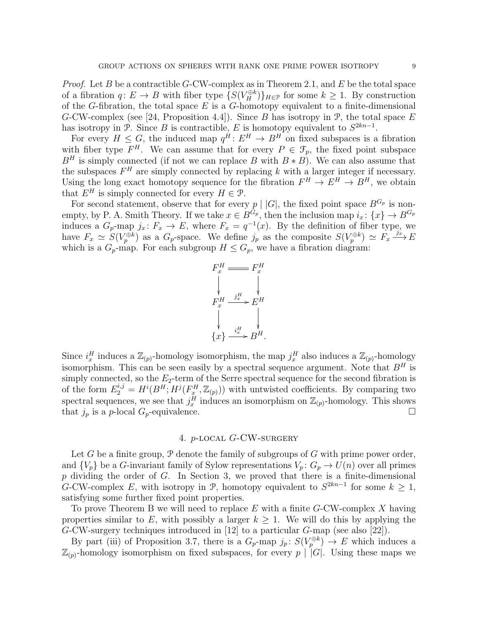*Proof.* Let B be a contractible  $G$ -CW-complex as in Theorem 2.1, and E be the total space of a fibration  $q: E \to B$  with fiber type  $\{S(V_H^{\oplus k})\}_{H \in \mathcal{P}}$  for some  $k \geq 1$ . By construction of the G-fibration, the total space  $E$  is a G-homotopy equivalent to a finite-dimensional G-CW-complex (see [24, Proposition 4.4]). Since B has isotropy in  $\mathcal{P}$ , the total space E has isotropy in P. Since B is contractible, E is homotopy equivalent to  $S^{2kn-1}$ .

For every  $H \leq G$ , the induced map  $q^H: E^H \to B^H$  on fixed subspaces is a fibration with fiber type  $F^H$ . We can assume that for every  $P \in \mathcal{F}_p$ , the fixed point subspace  $B<sup>H</sup>$  is simply connected (if not we can replace B with  $B * B$ ). We can also assume that the subspaces  $F<sup>H</sup>$  are simply connected by replacing k with a larger integer if necessary. Using the long exact homotopy sequence for the fibration  $F^H \to E^H \to B^H$ , we obtain that  $E^H$  is simply connected for every  $H \in \mathcal{P}$ .

For second statement, observe that for every  $p \mid |G|$ , the fixed point space  $B^{G_p}$  is nonempty, by P. A. Smith Theory. If we take  $x \in B^{G_p}$ , then the inclusion map  $i_x \colon \{x\} \to B^{G_p}$ induces a  $G_p$ -map  $j_x \colon F_x \to E$ , where  $F_x = q^{-1}(x)$ . By the definition of fiber type, we have  $F_x \simeq S(V_p^{\oplus k})$  as a  $G_p$ -space. We define  $j_p$  as the composite  $S(V_p^{\oplus k}) \simeq F_x \xrightarrow{j_x} E$ which is a  $G_p$ -map. For each subgroup  $H \leq G_p$ , we have a fibration diagram:



Since  $i_x^H$  induces a  $\mathbb{Z}_{(p)}$ -homology isomorphism, the map  $j_x^H$  also induces a  $\mathbb{Z}_{(p)}$ -homology isomorphism. This can be seen easily by a spectral sequence argument. Note that  $B<sup>H</sup>$  is simply connected, so the  $E_2$ -term of the Serre spectral sequence for the second fibration is of the form  $E_2^{i,j} = H^i(B^H; H^j(F_x^H, \mathbb{Z}_{(p)}))$  with untwisted coefficients. By comparing two spectral sequences, we see that  $j_x^H$  induces an isomorphism on  $\mathbb{Z}_{(p)}$ -homology. This shows that  $j_p$  is a p-local  $G_p$ -equivalence.

### 4. p-local G-CW-surgery

Let G be a finite group,  $\mathcal P$  denote the family of subgroups of G with prime power order, and  $\{V_p\}$  be a G-invariant family of Sylow representations  $V_p: G_p \to U(n)$  over all primes  $p$  dividing the order of  $G$ . In Section 3, we proved that there is a finite-dimensional G-CW-complex E, with isotropy in P, homotopy equivalent to  $S^{2kn-1}$  for some  $k \geq 1$ , satisfying some further fixed point properties.

To prove Theorem B we will need to replace  $E$  with a finite  $G$ -CW-complex X having properties similar to E, with possibly a larger  $k \geq 1$ . We will do this by applying the G-CW-surgery techniques introduced in [12] to a particular G-map (see also [22]).

By part (iii) of Proposition 3.7, there is a  $G_p$ -map  $j_p: S(V_p^{\oplus k}) \to E$  which induces a  $\mathbb{Z}_{(p)}$ -homology isomorphism on fixed subspaces, for every  $p \mid |G|$ . Using these maps we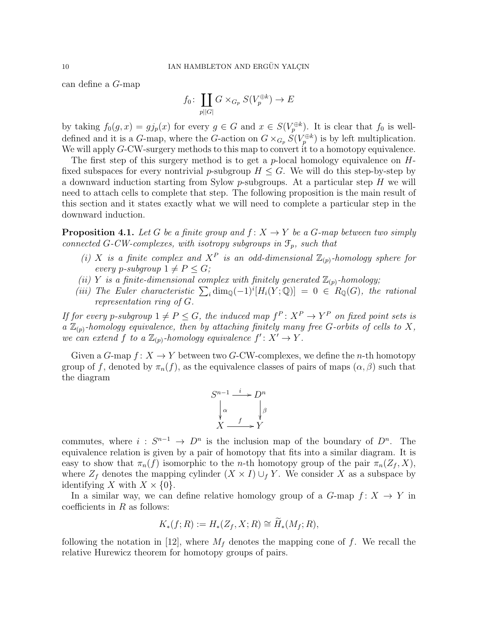can define a G-map

$$
f_0 \colon \coprod_{p||G|} G \times_{G_p} S(V_p^{\oplus k}) \to E
$$

by taking  $f_0(g, x) = gj_p(x)$  for every  $g \in G$  and  $x \in S(V_p^{\oplus k})$ . It is clear that  $f_0$  is welldefined and it is a G-map, where the G-action on  $G \times_{G_p} S(V_p^{\oplus k})$  is by left multiplication. We will apply G-CW-surgery methods to this map to convert it to a homotopy equivalence.

The first step of this surgery method is to get a p-local homology equivalence on  $H$ fixed subspaces for every nontrivial p-subgroup  $H \leq G$ . We will do this step-by-step by a downward induction starting from Sylow  $p$ -subgroups. At a particular step  $H$  we will need to attach cells to complete that step. The following proposition is the main result of this section and it states exactly what we will need to complete a particular step in the downward induction.

**Proposition 4.1.** Let G be a finite group and  $f: X \to Y$  be a G-map between two simply connected G-CW-complexes, with isotropy subgroups in  $\mathcal{F}_p$ , such that

- (i) X is a finite complex and  $X^P$  is an odd-dimensional  $\mathbb{Z}_{(p)}$ -homology sphere for every p-subgroup  $1 \neq P \leq G$ ;
- (ii) Y is a finite-dimensional complex with finitely generated  $\mathbb{Z}_{(p)}$ -homology;
- (iii) The Euler characteristic  $\sum_i \dim_{\mathbb{Q}}(-1)^i[H_i(Y;\mathbb{Q})] = 0 \in R_{\mathbb{Q}}(G)$ , the rational representation ring of G.

If for every p-subgroup  $1 \neq P \leq G$ , the induced map  $f^P \colon X^P \to Y^P$  on fixed point sets is a  $\mathbb{Z}_{(p)}$ -homology equivalence, then by attaching finitely many free G-orbits of cells to X, we can extend f to a  $\mathbb{Z}_{(p)}$ -homology equivalence  $f' : X' \to Y$ .

Given a G-map  $f: X \to Y$  between two G-CW-complexes, we define the *n*-th homotopy group of f, denoted by  $\pi_n(f)$ , as the equivalence classes of pairs of maps  $(\alpha, \beta)$  such that the diagram

$$
S^{n-1} \xrightarrow{i} D^n
$$

$$
\downarrow \alpha \qquad \qquad \downarrow \beta
$$

$$
X \xrightarrow{f} Y
$$

commutes, where  $i: S^{n-1} \to D^n$  is the inclusion map of the boundary of  $D^n$ . The equivalence relation is given by a pair of homotopy that fits into a similar diagram. It is easy to show that  $\pi_n(f)$  isomorphic to the n-th homotopy group of the pair  $\pi_n(Z_f, X)$ , where  $Z_f$  denotes the mapping cylinder  $(X \times I) \cup_f Y$ . We consider X as a subspace by identifying X with  $X \times \{0\}$ .

In a similar way, we can define relative homology group of a  $G$ -map  $f: X \to Y$  in coefficients in  $R$  as follows:

$$
K_*(f;R) := H_*(Z_f, X;R) \cong \widetilde{H}_*(M_f;R),
$$

following the notation in [12], where  $M_f$  denotes the mapping cone of f. We recall the relative Hurewicz theorem for homotopy groups of pairs.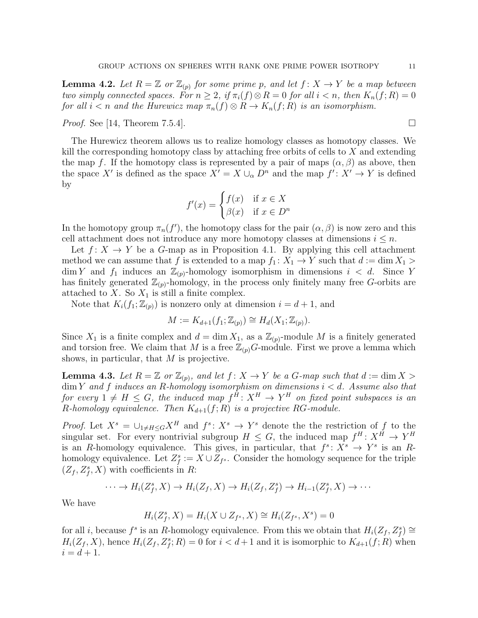**Lemma 4.2.** Let  $R = \mathbb{Z}$  or  $\mathbb{Z}_{(p)}$  for some prime p, and let  $f: X \to Y$  be a map between two simply connected spaces. For  $n \geq 2$ , if  $\pi_i(f) \otimes R = 0$  for all  $i < n$ , then  $K_n(f; R) = 0$ for all  $i < n$  and the Hurewicz map  $\pi_n(f) \otimes R \to K_n(f; R)$  is an isomorphism.

*Proof.* See [14, Theorem 7.5.4].

The Hurewicz theorem allows us to realize homology classes as homotopy classes. We kill the corresponding homotopy class by attaching free orbits of cells to  $X$  and extending the map f. If the homotopy class is represented by a pair of maps  $(\alpha, \beta)$  as above, then the space X' is defined as the space  $X' = X \cup_{\alpha} D^n$  and the map  $f' : X' \to Y$  is defined by

$$
f'(x) = \begin{cases} f(x) & \text{if } x \in X \\ \beta(x) & \text{if } x \in D^n \end{cases}
$$

In the homotopy group  $\pi_n(f')$ , the homotopy class for the pair  $(\alpha, \beta)$  is now zero and this cell attachment does not introduce any more homotopy classes at dimensions  $i \leq n$ .

Let  $f: X \to Y$  be a G-map as in Proposition 4.1. By applying this cell attachment method we can assume that f is extended to a map  $f_1: X_1 \to Y$  such that  $d := \dim X_1 >$  $\dim Y$  and  $f_1$  induces an  $\mathbb{Z}_{(p)}$ -homology isomorphism in dimensions  $i < d$ . Since Y has finitely generated  $\mathbb{Z}_{(p)}$ -homology, in the process only finitely many free G-orbits are attached to X. So  $X_1$  is still a finite complex.

Note that  $K_i(f_1; \mathbb{Z}_{(p)})$  is nonzero only at dimension  $i = d + 1$ , and

$$
M := K_{d+1}(f_1; \mathbb{Z}_{(p)}) \cong H_d(X_1; \mathbb{Z}_{(p)}).
$$

Since  $X_1$  is a finite complex and  $d = \dim X_1$ , as a  $\mathbb{Z}_{(p)}$ -module M is a finitely generated and torsion free. We claim that M is a free  $\mathbb{Z}_{(p)}G$ -module. First we prove a lemma which shows, in particular, that M is projective.

**Lemma 4.3.** Let  $R = \mathbb{Z}$  or  $\mathbb{Z}_{(p)}$ , and let  $f: X \to Y$  be a G-map such that  $d := \dim X >$  $\dim Y$  and f induces an R-homology isomorphism on dimensions  $i < d$ . Assume also that for every  $1 \neq H \leq G$ , the induced map  $f^H: X^H \to Y^H$  on fixed point subspaces is an R-homology equivalence. Then  $K_{d+1}(f;R)$  is a projective RG-module.

*Proof.* Let  $X^s = \bigcup_{1 \neq H \leq G} X^H$  and  $f^s: X^s \to Y^s$  denote the the restriction of f to the singular set. For every nontrivial subgroup  $H \leq G$ , the induced map  $f^H: X^H \to Y^H$ is an R-homology equivalence. This gives, in particular, that  $f^s: X^s \to Y^s$  is an Rhomology equivalence. Let  $Z_f^s := X \cup Z_{f^s}$ . Consider the homology sequence for the triple  $(Z_f, Z_f^s, X)$  with coefficients in R:

$$
\cdots \to H_i(Z_f^s, X) \to H_i(Z_f, X) \to H_i(Z_f, Z_f^s) \to H_{i-1}(Z_f^s, X) \to \cdots
$$

We have

$$
H_i(Z_f^s, X) = H_i(X \cup Z_{f^s}, X) \cong H_i(Z_{f^s}, X^s) = 0
$$

for all *i*, because  $f^s$  is an R-homology equivalence. From this we obtain that  $H_i(Z_f, Z_f^s) \cong$  $H_i(Z_f, X)$ , hence  $H_i(Z_f, Z_f^s; R) = 0$  for  $i < d+1$  and it is isomorphic to  $K_{d+1}(f; R)$  when  $i = d + 1.$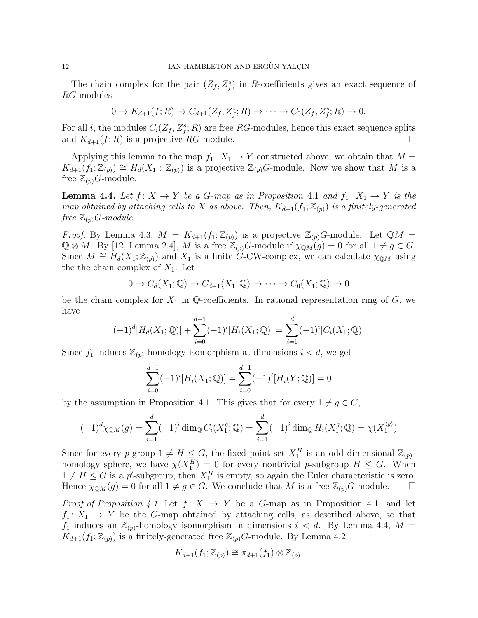The chain complex for the pair  $(Z_f, Z_f^s)$  in R-coefficients gives an exact sequence of RG-modules

$$
0 \to K_{d+1}(f;R) \to C_{d+1}(Z_f, Z_f^s; R) \to \cdots \to C_0(Z_f, Z_f^s; R) \to 0.
$$

For all *i*, the modules  $C_i(Z_f, Z_f^s; R)$  are free RG-modules, hence this exact sequence splits and  $K_{d+1}(f;R)$  is a projective RG-module.

Applying this lemma to the map  $f_1: X_1 \to Y$  constructed above, we obtain that  $M =$  $K_{d+1}(f_1; \mathbb{Z}_{(p)}) \cong H_d(X_1; \mathbb{Z}_{(p)})$  is a projective  $\mathbb{Z}_{(p)}G$ -module. Now we show that M is a free  $\mathbb{Z}_{(p)}G$ -module.

**Lemma 4.4.** Let  $f: X \to Y$  be a G-map as in Proposition 4.1 and  $f_1: X_1 \to Y$  is the map obtained by attaching cells to X as above. Then,  $K_{d+1}(f_1; \mathbb{Z}_{(p)})$  is a finitely-generated free  $\mathbb{Z}_{(p)}G$ -module.

*Proof.* By Lemma 4.3,  $M = K_{d+1}(f_1; \mathbb{Z}_{(p)})$  is a projective  $\mathbb{Z}_{(p)}G$ -module. Let  $\mathbb{Q}M =$  $\mathbb{Q} \otimes M$ . By [12, Lemma 2.4], M is a free  $\mathbb{Z}_{(p)}G$ -module if  $\chi_{\mathbb{Q}M}(g) = 0$  for all  $1 \neq g \in G$ . Since  $M \cong H_d(X_1; \mathbb{Z}_{(p)})$  and  $X_1$  is a finite G-CW-complex, we can calculate  $\chi_{\mathbb{Q}M}$  using the the chain complex of  $X_1$ . Let

$$
0 \to C_d(X_1; \mathbb{Q}) \to C_{d-1}(X_1; \mathbb{Q}) \to \cdots \to C_0(X_1; \mathbb{Q}) \to 0
$$

be the chain complex for  $X_1$  in Q-coefficients. In rational representation ring of  $G$ , we have

$$
(-1)^{d}[H_d(X_1; \mathbb{Q})] + \sum_{i=0}^{d-1} (-1)^{i}[H_i(X_1; \mathbb{Q})] = \sum_{i=1}^{d} (-1)^{i}[C_i(X_1; \mathbb{Q})]
$$

Since  $f_1$  induces  $\mathbb{Z}_{(p)}$ -homology isomorphism at dimensions  $i < d$ , we get

$$
\sum_{i=0}^{d-1} (-1)^{i} [H_i(X_1; \mathbb{Q})] = \sum_{i=0}^{d-1} (-1)^{i} [H_i(Y; \mathbb{Q})] = 0
$$

by the assumption in Proposition 4.1. This gives that for every  $1 \neq g \in G$ ,

$$
(-1)^d \chi_{\mathbb{Q}M}(g) = \sum_{i=1}^d (-1)^i \dim_{\mathbb{Q}} C_i(X_1^g; \mathbb{Q}) = \sum_{i=1}^d (-1)^i \dim_{\mathbb{Q}} H_i(X_1^g; \mathbb{Q}) = \chi(X_1^{\langle g \rangle})
$$

Since for every p-group  $1 \neq H \leq G$ , the fixed point set  $X_1^H$  is an odd dimensional  $\mathbb{Z}_{(p)}$ homology sphere, we have  $\chi(X_1^H) = 0$  for every nontrivial p-subgroup  $H \leq G$ . When  $1 \neq H \leq G$  is a p'-subgroup, then  $X_1^H$  is empty, so again the Euler characteristic is zero. Hence  $\chi_{\mathbb{Q}M}(g) = 0$  for all  $1 \neq g \in G$ . We conclude that M is a free  $\mathbb{Z}_{(p)}G$ -module.  $\Box$ 

*Proof of Proposition 4.1.* Let  $f: X \rightarrow Y$  be a G-map as in Proposition 4.1, and let  $f_1: X_1 \to Y$  be the G-map obtained by attaching cells, as described above, so that  $f_1$  induces an  $\mathbb{Z}_{(p)}$ -homology isomorphism in dimensions  $i < d$ . By Lemma 4.4,  $M =$  $K_{d+1}(f_1; \mathbb{Z}_{(p)})$  is a finitely-generated free  $\mathbb{Z}_{(p)}G$ -module. By Lemma 4.2,

$$
K_{d+1}(f_1; \mathbb{Z}_{(p)}) \cong \pi_{d+1}(f_1) \otimes \mathbb{Z}_{(p)},
$$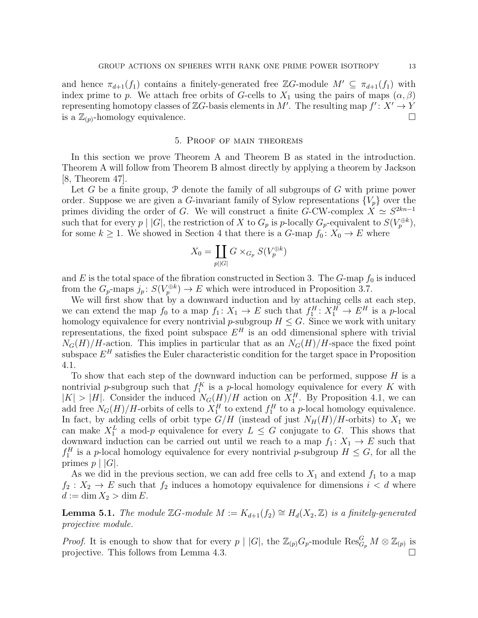and hence  $\pi_{d+1}(f_1)$  contains a finitely-generated free ZG-module  $M' \subseteq \pi_{d+1}(f_1)$  with index prime to p. We attach free orbits of G-cells to  $X_1$  using the pairs of maps  $(\alpha, \beta)$ representing homotopy classes of ZG-basis elements in M'. The resulting map  $f' : X' \to Y$ is a  $\mathbb{Z}_{(p)}$ -homology equivalence.

### 5. Proof of main theorems

In this section we prove Theorem A and Theorem B as stated in the introduction. Theorem A will follow from Theorem B almost directly by applying a theorem by Jackson [8, Theorem 47].

Let G be a finite group,  $\mathcal P$  denote the family of all subgroups of G with prime power order. Suppose we are given a G-invariant family of Sylow representations  $\{V_p\}$  over the primes dividing the order of G. We will construct a finite G-CW-complex  $X \simeq S^{2kn-1}$ such that for every  $p \mid |G|$ , the restriction of X to  $G_p$  is p-locally  $G_p$ -equivalent to  $S(V_p^{\oplus k})$ , for some  $k \geq 1$ . We showed in Section 4 that there is a G-map  $f_0: X_0 \to E$  where

$$
X_0 = \coprod_{p||G|} G \times_{G_p} S(V_p^{\oplus k})
$$

and E is the total space of the fibration constructed in Section 3. The  $G$ -map  $f_0$  is induced from the  $G_p$ -maps  $j_p: S(V_p^{\oplus k}) \to E$  which were introduced in Proposition 3.7.

We will first show that by a downward induction and by attaching cells at each step, we can extend the map  $f_0$  to a map  $f_1: X_1 \to E$  such that  $f_1^H: X_1^H \to E^H$  is a p-local homology equivalence for every nontrivial p-subgroup  $H \leq G$ . Since we work with unitary representations, the fixed point subspace  $E^H$  is an odd dimensional sphere with trivial  $N_G(H)/H$ -action. This implies in particular that as an  $N_G(H)/H$ -space the fixed point subspace  $E^H$  satisfies the Euler characteristic condition for the target space in Proposition 4.1.

To show that each step of the downward induction can be performed, suppose  $H$  is a nontrivial p-subgroup such that  $f_1^K$  is a p-local homology equivalence for every K with  $|K| > |H|$ . Consider the induced  $N_G(H)/H$  action on  $X_1^H$ . By Proposition 4.1, we can add free  $N_G(H)/H$ -orbits of cells to  $X_1^H$  to extend  $f_1^H$  to a p-local homology equivalence. In fact, by adding cells of orbit type  $G/H$  (instead of just  $N_H(H)/H$ -orbits) to  $X_1$  we can make  $X_1^L$  a mod-p equivalence for every  $L \leq G$  conjugate to G. This shows that downward induction can be carried out until we reach to a map  $f_1: X_1 \to E$  such that  $f_1^H$  is a p-local homology equivalence for every nontrivial p-subgroup  $H \leq G$ , for all the primes  $p \mid |G|$ .

As we did in the previous section, we can add free cells to  $X_1$  and extend  $f_1$  to a map  $f_2: X_2 \to E$  such that  $f_2$  induces a homotopy equivalence for dimensions  $i < d$  where  $d := \dim X_2 > \dim E.$ 

**Lemma 5.1.** The module  $\mathbb{Z}G$ -module  $M := K_{d+1}(f_2) \cong H_d(X_2, \mathbb{Z})$  is a finitely-generated projective module.

*Proof.* It is enough to show that for every  $p \mid |G|$ , the  $\mathbb{Z}_{(p)}G_p$ -module  $\text{Res}_{G_p}^G M \otimes \mathbb{Z}_{(p)}$  is projective. This follows from Lemma 4.3.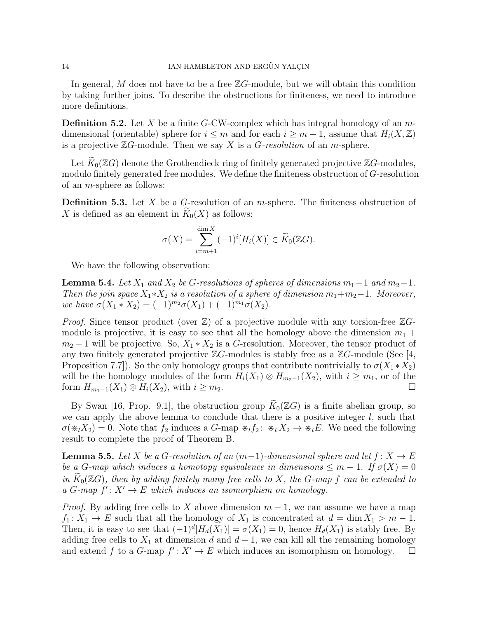In general, M does not have to be a free  $\mathbb{Z}G$ -module, but we will obtain this condition by taking further joins. To describe the obstructions for finiteness, we need to introduce more definitions.

**Definition 5.2.** Let X be a finite G-CW-complex which has integral homology of an  $m$ dimensional (orientable) sphere for  $i \leq m$  and for each  $i \geq m+1$ , assume that  $H_i(X,\mathbb{Z})$ is a projective  $\mathbb{Z}G$ -module. Then we say X is a G-resolution of an m-sphere.

Let  $K_0(\mathbb{Z}G)$  denote the Grothendieck ring of finitely generated projective  $\mathbb{Z}G$ -modules, modulo finitely generated free modules. We define the finiteness obstruction of G-resolution of an m-sphere as follows:

**Definition 5.3.** Let X be a G-resolution of an  $m$ -sphere. The finiteness obstruction of X is defined as an element in  $K_0(X)$  as follows:

$$
\sigma(X) = \sum_{i=m+1}^{\dim X} (-1)^i [H_i(X)] \in \widetilde{K}_0(\mathbb{Z}G).
$$

We have the following observation:

**Lemma 5.4.** Let  $X_1$  and  $X_2$  be G-resolutions of spheres of dimensions  $m_1-1$  and  $m_2-1$ . Then the join space  $X_1 * X_2$  is a resolution of a sphere of dimension  $m_1 + m_2 - 1$ . Moreover, we have  $\sigma(X_1 * X_2) = (-1)^{m_2} \sigma(X_1) + (-1)^{m_1} \sigma(X_2)$ .

*Proof.* Since tensor product (over  $\mathbb{Z}$ ) of a projective module with any torsion-free  $\mathbb{Z}G$ module is projective, it is easy to see that all the homology above the dimension  $m_1 +$  $m_2 - 1$  will be projective. So,  $X_1 * X_2$  is a G-resolution. Moreover, the tensor product of any two finitely generated projective  $\mathbb{Z}G$ -modules is stably free as a  $\mathbb{Z}G$ -module (See [4, Proposition 7.7). So the only homology groups that contribute nontrivially to  $\sigma(X_1 * X_2)$ will be the homology modules of the form  $H_i(X_1) \otimes H_{m_2-1}(X_2)$ , with  $i \geq m_1$ , or of the form  $H_{m_1-1}(X_1) \otimes H_i(X_2)$ , with  $i \geq m_2$ .

By Swan [16, Prop. 9.1], the obstruction group  $K_0(\mathbb{Z}G)$  is a finite abelian group, so we can apply the above lemma to conclude that there is a positive integer  $l$ , such that  $\sigma(*_lX_2) = 0$ . Note that  $f_2$  induces a G-map  $*_l f_2 : *_l X_2 \to *_l E$ . We need the following result to complete the proof of Theorem B.

**Lemma 5.5.** Let X be a G-resolution of an  $(m-1)$ -dimensional sphere and let  $f: X \to E$ be a G-map which induces a homotopy equivalence in dimensions  $\leq m-1$ . If  $\sigma(X) = 0$ in  $\widetilde{K}_0(\mathbb{Z}G)$ , then by adding finitely many free cells to X, the G-map f can be extended to a G-map  $f' : X' \to E$  which induces an isomorphism on homology.

*Proof.* By adding free cells to X above dimension  $m-1$ , we can assume we have a map  $f_1: X_1 \to E$  such that all the homology of  $X_1$  is concentrated at  $d = \dim X_1 > m - 1$ . Then, it is easy to see that  $(-1)^d[H_d(X_1)] = \sigma(X_1) = 0$ , hence  $H_d(X_1)$  is stably free. By adding free cells to  $X_1$  at dimension d and  $d-1$ , we can kill all the remaining homology and extend f to a G-map  $f' : X' \to E$  which induces an isomorphism on homology.  $\square$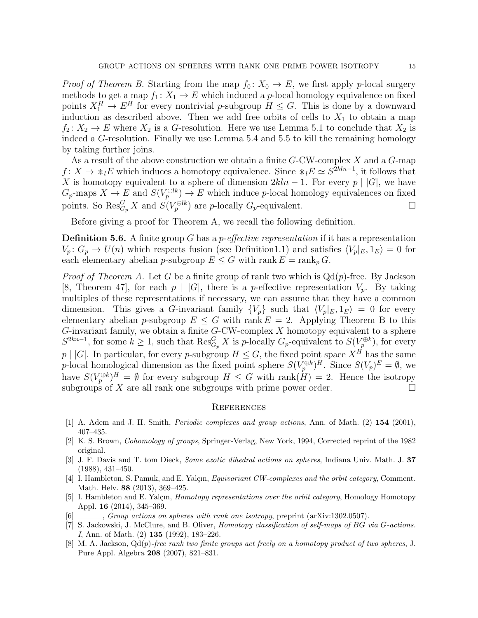*Proof of Theorem B.* Starting from the map  $f_0: X_0 \to E$ , we first apply p-local surgery methods to get a map  $f_1: X_1 \to E$  which induced a p-local homology equivalence on fixed points  $X_1^H \to E^H$  for every nontrivial p-subgroup  $H \leq G$ . This is done by a downward induction as described above. Then we add free orbits of cells to  $X_1$  to obtain a map  $f_2: X_2 \to E$  where  $X_2$  is a G-resolution. Here we use Lemma 5.1 to conclude that  $X_2$  is indeed a G-resolution. Finally we use Lemma 5.4 and 5.5 to kill the remaining homology by taking further joins.

As a result of the above construction we obtain a finite  $G$ -CW-complex  $X$  and a  $G$ -map  $f: X \to \dot{\ast}_l E$  which induces a homotopy equivalence. Since  $\dot{\ast}_l E \simeq S^{2kln-1}$ , it follows that X is homotopy equivalent to a sphere of dimension  $2kln - 1$ . For every p | |G|, we have  $G_p$ -maps  $X \to E$  and  $S(V_p^{\oplus lk}) \to E$  which induce p-local homology equivalences on fixed points. So  $\text{Res}_{G_p}^G X$  and  $S(V_p^{\oplus lk})$  are *p*-locally  $G_p$ -equivalent.

Before giving a proof for Theorem A, we recall the following definition.

**Definition 5.6.** A finite group G has a *p*-effective representation if it has a representation  $V_p: G_p \to U(n)$  which respects fusion (see Definition1.1) and satisfies  $\langle V_p|_E, 1_E \rangle = 0$  for each elementary abelian p-subgroup  $E \leq G$  with rank  $E = \text{rank}_p G$ .

*Proof of Theorem A.* Let G be a finite group of rank two which is  $Qd(p)$ -free. By Jackson [8, Theorem 47], for each  $p \mid |G|$ , there is a p-effective representation  $V_p$ . By taking multiples of these representations if necessary, we can assume that they have a common dimension. This gives a G-invariant family  $\{V_p\}$  such that  $\langle V_p|_E, 1_E \rangle = 0$  for every elementary abelian p-subgroup  $E \leq G$  with rank  $E = 2$ . Applying Theorem B to this  $G$ -invariant family, we obtain a finite  $G$ -CW-complex  $X$  homotopy equivalent to a sphere  $S^{2kn-1}$ , for some  $k \geq 1$ , such that  $\text{Res}_{G_p}^G X$  is p-locally  $G_p$ -equivalent to  $S(V_p^{\oplus k})$ , for every  $p \mid |G|$ . In particular, for every p-subgroup  $H \leq G$ , the fixed point space  $X^H$  has the same p-local homological dimension as the fixed point sphere  $S(V_p^{\oplus k})^H$ . Since  $S(V_p)^E = \emptyset$ , we have  $S(V_p^{\oplus k})^H = \emptyset$  for every subgroup  $H \leq G$  with rank $(H) = 2$ . Hence the isotropy subgroups of X are all rank one subgroups with prime power order.  $\Box$ 

#### **REFERENCES**

- [1] A. Adem and J. H. Smith, Periodic complexes and group actions, Ann. of Math. (2) 154 (2001), 407–435.
- [2] K. S. Brown, Cohomology of groups, Springer-Verlag, New York, 1994, Corrected reprint of the 1982 original.
- [3] J. F. Davis and T. tom Dieck, Some exotic dihedral actions on spheres, Indiana Univ. Math. J. 37 (1988), 431–450.
- [4] I. Hambleton, S. Pamuk, and E. Yalçın, Equivariant CW-complexes and the orbit category, Comment. Math. Helv. 88 (2013), 369–425.
- [5] I. Hambleton and E. Yalçın, *Homotopy representations over the orbit category*, Homology Homotopy Appl. 16 (2014), 345–369.
- [6] , Group actions on spheres with rank one isotropy, preprint (arXiv:1302.0507).
- [7] S. Jackowski, J. McClure, and B. Oliver, Homotopy classification of self-maps of BG via G-actions. I, Ann. of Math. (2) 135 (1992), 183–226.
- [8] M. A. Jackson,  $\mathrm{Od}(p)$ -free rank two finite groups act freely on a homotopy product of two spheres, J. Pure Appl. Algebra 208 (2007), 821–831.